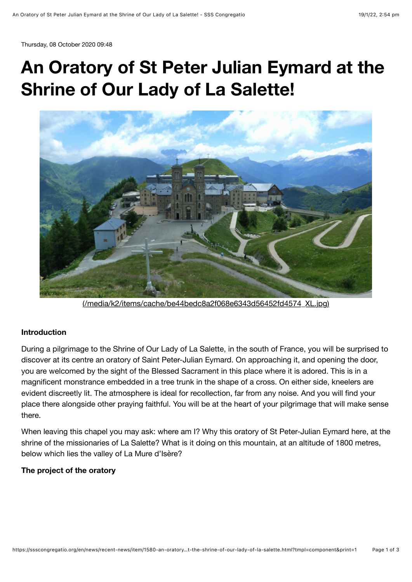Thursday, 08 October 2020 09:48

## **An Oratory of St Peter Julian Eymard at the Shrine of Our Lady of La Salette!**



[\(/media/k2/items/cache/be44bedc8a2f068e6343d56452fd4574\\_XL.jpg\)](https://ssscongregatio.org/media/k2/items/cache/be44bedc8a2f068e6343d56452fd4574_XL.jpg)

## **Introduction**

During a pilgrimage to the Shrine of Our Lady of La Salette, in the south of France, you will be surprised to discover at its centre an oratory of Saint Peter-Julian Eymard. On approaching it, and opening the door, you are welcomed by the sight of the Blessed Sacrament in this place where it is adored. This is in a magnificent monstrance embedded in a tree trunk in the shape of a cross. On either side, kneelers are evident discreetly lit. The atmosphere is ideal for recollection, far from any noise. And you will find your place there alongside other praying faithful. You will be at the heart of your pilgrimage that will make sense there.

When leaving this chapel you may ask: where am I? Why this oratory of St Peter-Julian Eymard here, at the shrine of the missionaries of La Salette? What is it doing on this mountain, at an altitude of 1800 metres, below which lies the valley of La Mure d'Isère?

## **The project of the oratory**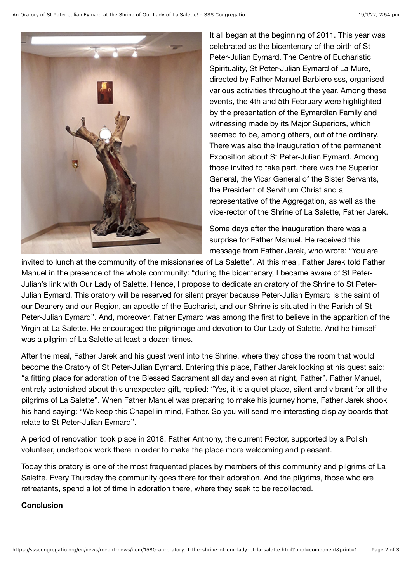

It all began at the beginning of 2011. This year was celebrated as the bicentenary of the birth of St Peter-Julian Eymard. The Centre of Eucharistic Spirituality, St Peter-Julian Eymard of La Mure, directed by Father Manuel Barbiero sss, organised various activities throughout the year. Among these events, the 4th and 5th February were highlighted by the presentation of the Eymardian Family and witnessing made by its Major Superiors, which seemed to be, among others, out of the ordinary. There was also the inauguration of the permanent Exposition about St Peter-Julian Eymard. Among those invited to take part, there was the Superior General, the Vicar General of the Sister Servants, the President of Servitium Christ and a representative of the Aggregation, as well as the vice-rector of the Shrine of La Salette, Father Jarek.

Some days after the inauguration there was a surprise for Father Manuel. He received this message from Father Jarek, who wrote: "You are

invited to lunch at the community of the missionaries of La Salette". At this meal, Father Jarek told Father Manuel in the presence of the whole community: "during the bicentenary, I became aware of St Peter-Julian's link with Our Lady of Salette. Hence, I propose to dedicate an oratory of the Shrine to St Peter-Julian Eymard. This oratory will be reserved for silent prayer because Peter-Julian Eymard is the saint of our Deanery and our Region, an apostle of the Eucharist, and our Shrine is situated in the Parish of St Peter-Julian Eymard". And, moreover, Father Eymard was among the first to believe in the apparition of the Virgin at La Salette. He encouraged the pilgrimage and devotion to Our Lady of Salette. And he himself was a pilgrim of La Salette at least a dozen times.

After the meal, Father Jarek and his guest went into the Shrine, where they chose the room that would become the Oratory of St Peter-Julian Eymard. Entering this place, Father Jarek looking at his guest said: "a fitting place for adoration of the Blessed Sacrament all day and even at night, Father". Father Manuel, entirely astonished about this unexpected gift, replied: "Yes, it is a quiet place, silent and vibrant for all the pilgrims of La Salette". When Father Manuel was preparing to make his journey home, Father Jarek shook his hand saying: "We keep this Chapel in mind, Father. So you will send me interesting display boards that relate to St Peter-Julian Eymard".

A period of renovation took place in 2018. Father Anthony, the current Rector, supported by a Polish volunteer, undertook work there in order to make the place more welcoming and pleasant.

Today this oratory is one of the most frequented places by members of this community and pilgrims of La Salette. Every Thursday the community goes there for their adoration. And the pilgrims, those who are retreatants, spend a lot of time in adoration there, where they seek to be recollected.

## **Conclusion**